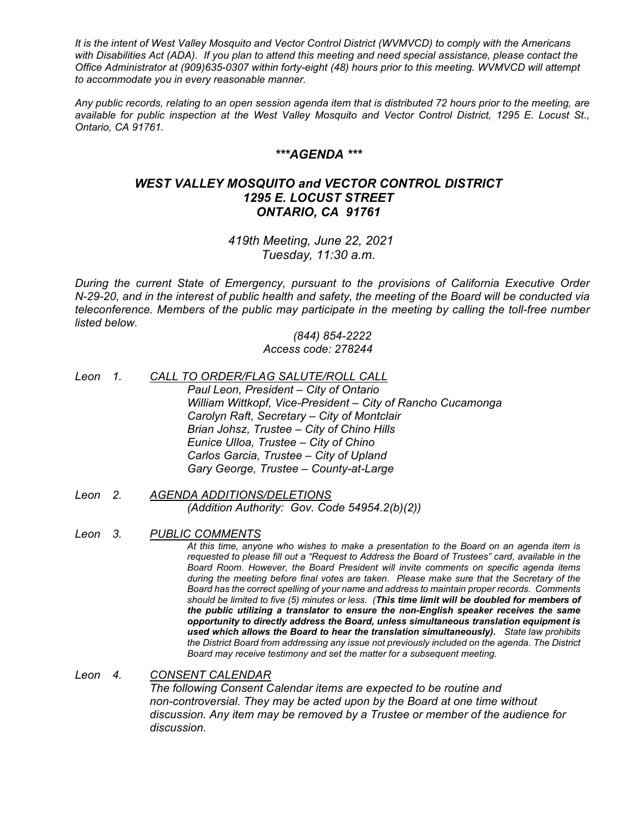*It is the intent of West Valley Mosquito and Vector Control District (WVMVCD) to comply with the Americans with Disabilities Act (ADA). If you plan to attend this meeting and need special assistance, please contact the Office Administrator at (909)635-0307 within forty-eight (48) hours prior to this meeting. WVMVCD will attempt to accommodate you in every reasonable manner.*

*Any public records, relating to an open session agenda item that is distributed 72 hours prior to the meeting, are available for public inspection at the West Valley Mosquito and Vector Control District, 1295 E. Locust St., Ontario, CA 91761.*

## *\*\*\*AGENDA \*\*\**

## *WEST VALLEY MOSQUITO and VECTOR CONTROL DISTRICT 1295 E. LOCUST STREET ONTARIO, CA 91761*

*419th Meeting, June 22, 2021 Tuesday, 11:30 a.m.*

*During the current State of Emergency, pursuant to the provisions of California Executive Order N-29-20, and in the interest of public health and safety, the meeting of the Board will be conducted via teleconference. Members of the public may participate in the meeting by calling the toll-free number listed below.*

> *(844) 854-2222 Access code: 278244*

- *Leon 1. CALL TO ORDER/FLAG SALUTE/ROLL CALL Paul Leon, President – City of Ontario William Wittkopf, Vice-President – City of Rancho Cucamonga Carolyn Raft, Secretary – City of Montclair Brian Johsz, Trustee – City of Chino Hills Eunice Ulloa, Trustee – City of Chino Carlos Garcia, Trustee – City of Upland Gary George, Trustee – County-at-Large*
- *Leon 2. AGENDA ADDITIONS/DELETIONS (Addition Authority: Gov. Code 54954.2(b)(2))*
- *Leon 3. PUBLIC COMMENTS*

*At this time, anyone who wishes to make a presentation to the Board on an agenda item is requested to please fill out a "Request to Address the Board of Trustees" card, available in the Board Room. However, the Board President will invite comments on specific agenda items during the meeting before final votes are taken. Please make sure that the Secretary of the Board has the correct spelling of your name and address to maintain proper records. Comments should be limited to five (5) minutes or less. (This time limit will be doubled for members of the public utilizing a translator to ensure the non-English speaker receives the same opportunity to directly address the Board, unless simultaneous translation equipment is used which allows the Board to hear the translation simultaneously). State law prohibits the District Board from addressing any issue not previously included on the agenda. The District Board may receive testimony and set the matter for a subsequent meeting.*

## *Leon 4. CONSENT CALENDAR*

*The following Consent Calendar items are expected to be routine and non-controversial. They may be acted upon by the Board at one time without discussion. Any item may be removed by a Trustee or member of the audience for discussion.*